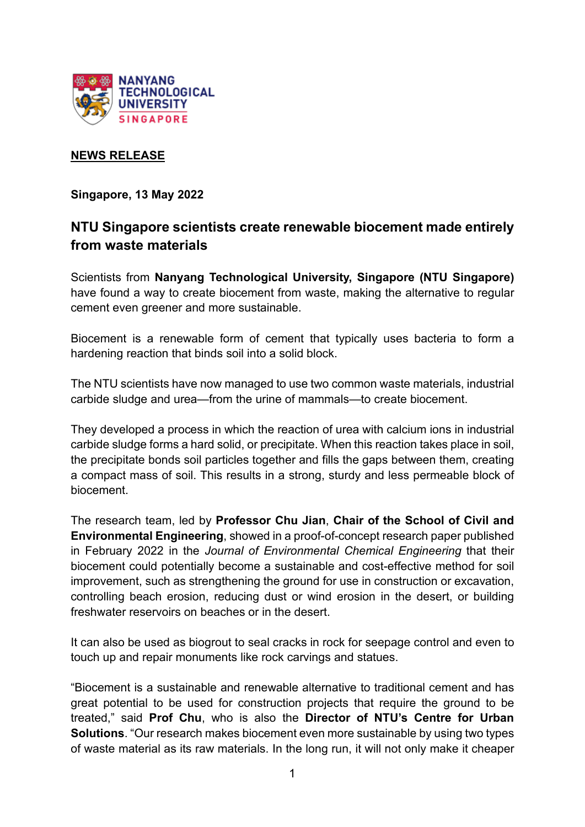

# **NEWS RELEASE**

**Singapore, 13 May 2022** 

# **NTU Singapore scientists create renewable biocement made entirely from waste materials**

Scientists from **Nanyang Technological University, Singapore (NTU Singapore)**  have found a way to create biocement from waste, making the alternative to regular cement even greener and more sustainable.

Biocement is a renewable form of cement that typically uses bacteria to form a hardening reaction that binds soil into a solid block.

The NTU scientists have now managed to use two common waste materials, industrial carbide sludge and urea—from the urine of mammals—to create biocement.

They developed a process in which the reaction of urea with calcium ions in industrial carbide sludge forms a hard solid, or precipitate. When this reaction takes place in soil, the precipitate bonds soil particles together and fills the gaps between them, creating a compact mass of soil. This results in a strong, sturdy and less permeable block of biocement.

The research team, led by **Professor Chu Jian**, **Chair of the School of Civil and Environmental Engineering**, showed in a proof-of-concept research paper published in February 2022 in the *Journal of Environmental Chemical Engineering* that their biocement could potentially become a sustainable and cost-effective method for soil improvement, such as strengthening the ground for use in construction or excavation, controlling beach erosion, reducing dust or wind erosion in the desert, or building freshwater reservoirs on beaches or in the desert.

It can also be used as biogrout to seal cracks in rock for seepage control and even to touch up and repair monuments like rock carvings and statues.

"Biocement is a sustainable and renewable alternative to traditional cement and has great potential to be used for construction projects that require the ground to be treated," said **Prof Chu**, who is also the **Director of NTU's Centre for Urban Solutions**. "Our research makes biocement even more sustainable by using two types of waste material as its raw materials. In the long run, it will not only make it cheaper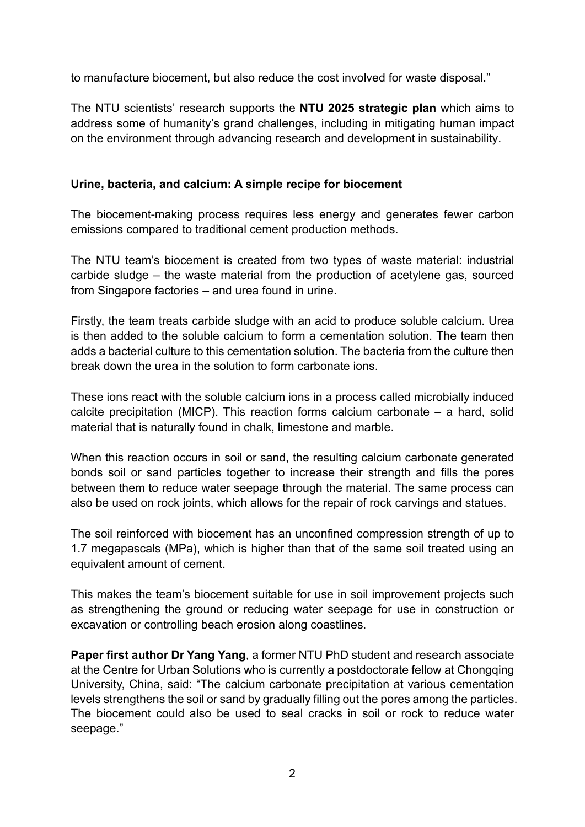to manufacture biocement, but also reduce the cost involved for waste disposal."

The NTU scientists' research supports the **NTU 2025 strategic plan** which aims to address some of humanity's grand challenges, including in mitigating human impact on the environment through advancing research and development in sustainability.

### **Urine, bacteria, and calcium: A simple recipe for biocement**

The biocement-making process requires less energy and generates fewer carbon emissions compared to traditional cement production methods.

The NTU team's biocement is created from two types of waste material: industrial carbide sludge – the waste material from the production of acetylene gas, sourced from Singapore factories – and urea found in urine.

Firstly, the team treats carbide sludge with an acid to produce soluble calcium. Urea is then added to the soluble calcium to form a cementation solution. The team then adds a bacterial culture to this cementation solution. The bacteria from the culture then break down the urea in the solution to form carbonate ions.

These ions react with the soluble calcium ions in a process called microbially induced calcite precipitation (MICP). This reaction forms calcium carbonate – a hard, solid material that is naturally found in chalk, limestone and marble.

When this reaction occurs in soil or sand, the resulting calcium carbonate generated bonds soil or sand particles together to increase their strength and fills the pores between them to reduce water seepage through the material. The same process can also be used on rock joints, which allows for the repair of rock carvings and statues.

The soil reinforced with biocement has an unconfined compression strength of up to 1.7 megapascals (MPa), which is higher than that of the same soil treated using an equivalent amount of cement.

This makes the team's biocement suitable for use in soil improvement projects such as strengthening the ground or reducing water seepage for use in construction or excavation or controlling beach erosion along coastlines.

**Paper first author Dr Yang Yang**, a former NTU PhD student and research associate at the Centre for Urban Solutions who is currently a postdoctorate fellow at Chongqing University, China, said: "The calcium carbonate precipitation at various cementation levels strengthens the soil or sand by gradually filling out the pores among the particles. The biocement could also be used to seal cracks in soil or rock to reduce water seepage."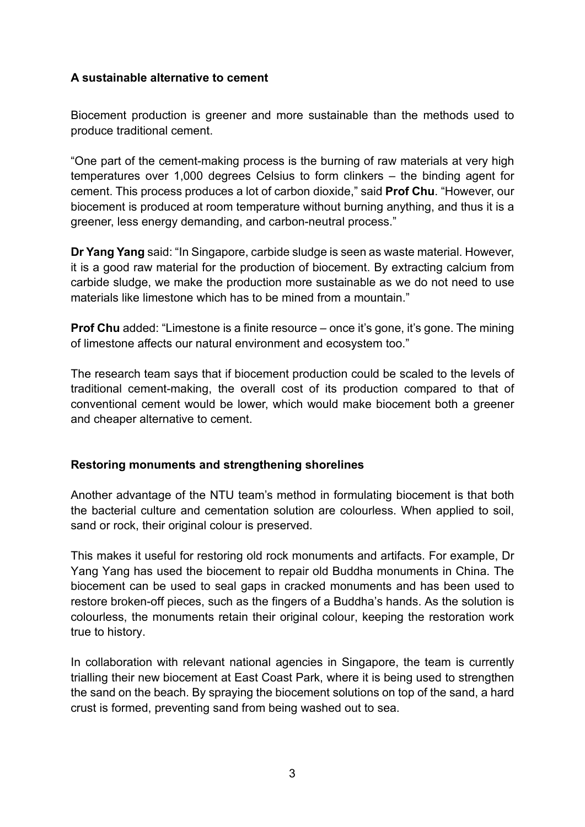# **A sustainable alternative to cement**

Biocement production is greener and more sustainable than the methods used to produce traditional cement.

"One part of the cement-making process is the burning of raw materials at very high temperatures over 1,000 degrees Celsius to form clinkers – the binding agent for cement. This process produces a lot of carbon dioxide," said **Prof Chu**. "However, our biocement is produced at room temperature without burning anything, and thus it is a greener, less energy demanding, and carbon-neutral process."

**Dr Yang Yang** said: "In Singapore, carbide sludge is seen as waste material. However, it is a good raw material for the production of biocement. By extracting calcium from carbide sludge, we make the production more sustainable as we do not need to use materials like limestone which has to be mined from a mountain."

**Prof Chu** added: "Limestone is a finite resource – once it's gone, it's gone. The mining of limestone affects our natural environment and ecosystem too."

The research team says that if biocement production could be scaled to the levels of traditional cement-making, the overall cost of its production compared to that of conventional cement would be lower, which would make biocement both a greener and cheaper alternative to cement.

### **Restoring monuments and strengthening shorelines**

Another advantage of the NTU team's method in formulating biocement is that both the bacterial culture and cementation solution are colourless. When applied to soil, sand or rock, their original colour is preserved.

This makes it useful for restoring old rock monuments and artifacts. For example, Dr Yang Yang has used the biocement to repair old Buddha monuments in China. The biocement can be used to seal gaps in cracked monuments and has been used to restore broken-off pieces, such as the fingers of a Buddha's hands. As the solution is colourless, the monuments retain their original colour, keeping the restoration work true to history.

In collaboration with relevant national agencies in Singapore, the team is currently trialling their new biocement at East Coast Park, where it is being used to strengthen the sand on the beach. By spraying the biocement solutions on top of the sand, a hard crust is formed, preventing sand from being washed out to sea.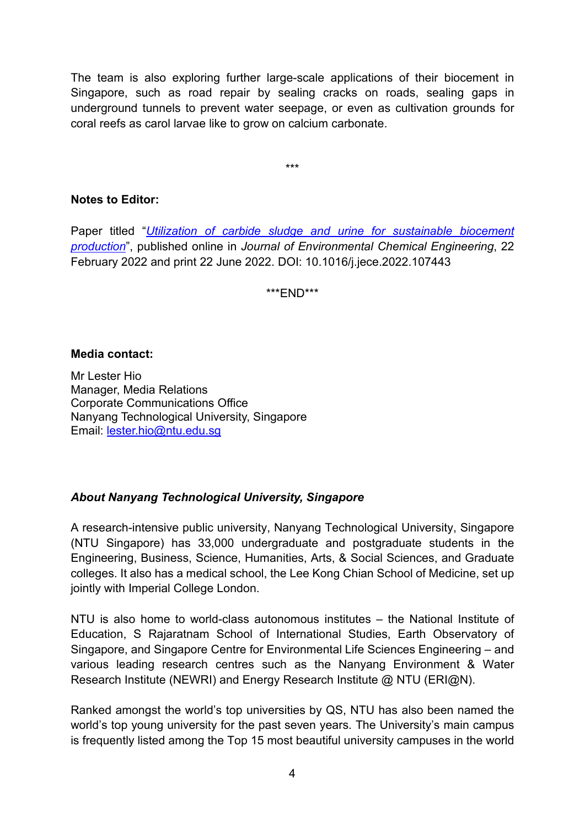The team is also exploring further large-scale applications of their biocement in Singapore, such as road repair by sealing cracks on roads, sealing gaps in underground tunnels to prevent water seepage, or even as cultivation grounds for coral reefs as carol larvae like to grow on calcium carbonate.

\*\*\*

### **Notes to Editor:**

Paper titled "*[Utilization of carbide sludge and urine for sustainable biocement](https://www3.ntu.edu.sg/CorpComms2/research%20papers/Biocement.pdf)  [production](https://www3.ntu.edu.sg/CorpComms2/research%20papers/Biocement.pdf)*", published online in *Journal of Environmental Chemical Engineering*, 22 February 2022 and print 22 June 2022. DOI: 10.1016/j.jece.2022.107443

\*\*\*END\*\*\*

#### **Media contact:**

Mr Lester Hio Manager, Media Relations Corporate Communications Office Nanyang Technological University, Singapore Email: [lester.hio@ntu.edu.sg](mailto:lester.hio@ntu.edu.sg)

### *About Nanyang Technological University, Singapore*

A research-intensive public university, Nanyang Technological University, Singapore (NTU Singapore) has 33,000 undergraduate and postgraduate students in the Engineering, Business, Science, Humanities, Arts, & Social Sciences, and Graduate colleges. It also has a medical school, the Lee Kong Chian School of Medicine, set up jointly with Imperial College London.

NTU is also home to world-class autonomous institutes – the National Institute of Education, S Rajaratnam School of International Studies, Earth Observatory of Singapore, and Singapore Centre for Environmental Life Sciences Engineering – and various leading research centres such as the Nanyang Environment & Water Research Institute (NEWRI) and Energy Research Institute @ NTU (ERI@N).

Ranked amongst the world's top universities by QS, NTU has also been named the world's top young university for the past seven years. The University's main campus is frequently listed among the Top 15 most beautiful university campuses in the world